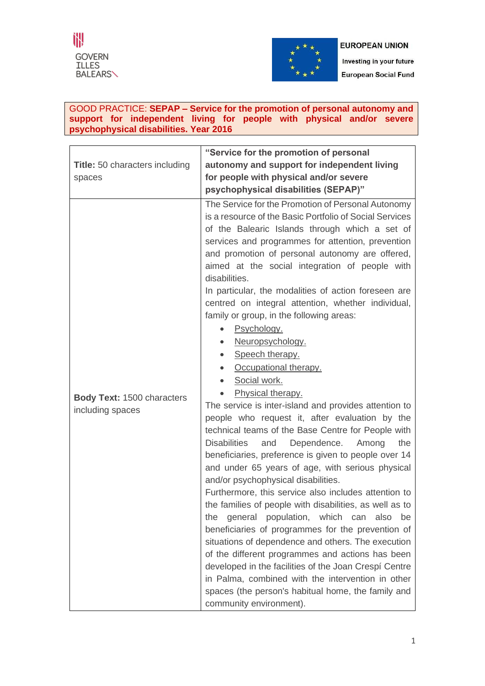



Investing in your future **European Social Fund** 

## GOOD PRACTICE: **SEPAP – Service for the promotion of personal autonomy and support for independent living for people with physical and/or severe psychophysical disabilities. Year 2016**

| <b>Title:</b> 50 characters including<br>spaces       | "Service for the promotion of personal<br>autonomy and support for independent living<br>for people with physical and/or severe<br>psychophysical disabilities (SEPAP)"                                                                                                                                                                                                                                                                                                                                                                                                                                                                                                                                                                                                                                                                                                                                                                                                                                                                                                                                                                                                                                                                                                                                                                                                                                                                                                                                                                          |
|-------------------------------------------------------|--------------------------------------------------------------------------------------------------------------------------------------------------------------------------------------------------------------------------------------------------------------------------------------------------------------------------------------------------------------------------------------------------------------------------------------------------------------------------------------------------------------------------------------------------------------------------------------------------------------------------------------------------------------------------------------------------------------------------------------------------------------------------------------------------------------------------------------------------------------------------------------------------------------------------------------------------------------------------------------------------------------------------------------------------------------------------------------------------------------------------------------------------------------------------------------------------------------------------------------------------------------------------------------------------------------------------------------------------------------------------------------------------------------------------------------------------------------------------------------------------------------------------------------------------|
| <b>Body Text: 1500 characters</b><br>including spaces | The Service for the Promotion of Personal Autonomy<br>is a resource of the Basic Portfolio of Social Services<br>of the Balearic Islands through which a set of<br>services and programmes for attention, prevention<br>and promotion of personal autonomy are offered,<br>aimed at the social integration of people with<br>disabilities.<br>In particular, the modalities of action foreseen are<br>centred on integral attention, whether individual,<br>family or group, in the following areas:<br>Psychology.<br>Neuropsychology.<br>Speech therapy.<br>Occupational therapy.<br>Social work.<br>Physical therapy.<br>The service is inter-island and provides attention to<br>people who request it, after evaluation by the<br>technical teams of the Base Centre for People with<br><b>Disabilities</b><br>Dependence.<br>the<br>Among<br>and<br>beneficiaries, preference is given to people over 14<br>and under 65 years of age, with serious physical<br>and/or psychophysical disabilities.<br>Furthermore, this service also includes attention to<br>the families of people with disabilities, as well as to<br>general population, which can<br>the<br>also<br>be<br>beneficiaries of programmes for the prevention of<br>situations of dependence and others. The execution<br>of the different programmes and actions has been<br>developed in the facilities of the Joan Crespi Centre<br>in Palma, combined with the intervention in other<br>spaces (the person's habitual home, the family and<br>community environment). |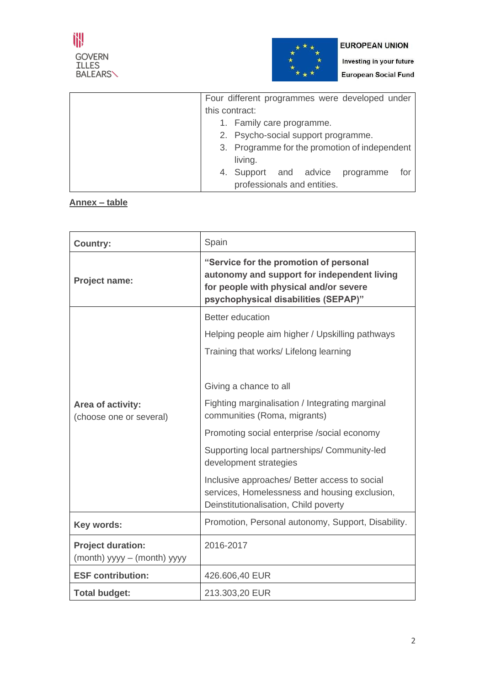

Investing in your future **European Social Fund** 

| Four different programmes were developed under |                                        |  |  |  |  |  |  |
|------------------------------------------------|----------------------------------------|--|--|--|--|--|--|
| this contract:                                 |                                        |  |  |  |  |  |  |
| 1. Family care programme.                      |                                        |  |  |  |  |  |  |
| 2. Psycho-social support programme.            |                                        |  |  |  |  |  |  |
| 3. Programme for the promotion of independent  |                                        |  |  |  |  |  |  |
|                                                | living.                                |  |  |  |  |  |  |
|                                                | 4. Support and advice programme<br>for |  |  |  |  |  |  |
| professionals and entities.                    |                                        |  |  |  |  |  |  |

# **Annex – table**

| <b>Country:</b>                                         | Spain                                                                                                                                                                   |
|---------------------------------------------------------|-------------------------------------------------------------------------------------------------------------------------------------------------------------------------|
| <b>Project name:</b>                                    | "Service for the promotion of personal<br>autonomy and support for independent living<br>for people with physical and/or severe<br>psychophysical disabilities (SEPAP)" |
|                                                         | <b>Better education</b>                                                                                                                                                 |
|                                                         | Helping people aim higher / Upskilling pathways                                                                                                                         |
|                                                         | Training that works/ Lifelong learning                                                                                                                                  |
|                                                         |                                                                                                                                                                         |
|                                                         | Giving a chance to all                                                                                                                                                  |
| Area of activity:<br>(choose one or several)            | Fighting marginalisation / Integrating marginal<br>communities (Roma, migrants)                                                                                         |
|                                                         | Promoting social enterprise /social economy                                                                                                                             |
|                                                         | Supporting local partnerships/ Community-led<br>development strategies                                                                                                  |
|                                                         | Inclusive approaches/ Better access to social<br>services, Homelessness and housing exclusion,<br>Deinstitutionalisation, Child poverty                                 |
| Key words:                                              | Promotion, Personal autonomy, Support, Disability.                                                                                                                      |
| <b>Project duration:</b><br>(month) yyyy – (month) yyyy | 2016-2017                                                                                                                                                               |
| <b>ESF contribution:</b>                                | 426.606,40 EUR                                                                                                                                                          |
| <b>Total budget:</b>                                    | 213.303,20 EUR                                                                                                                                                          |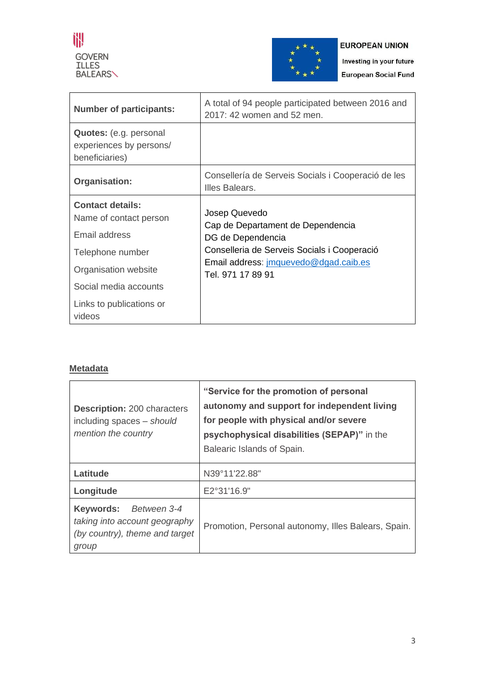



Investing in your future **European Social Fund** 

| <b>Number of participants:</b>                                      | A total of 94 people participated between 2016 and<br>2017: 42 women and 52 men. |  |  |  |  |
|---------------------------------------------------------------------|----------------------------------------------------------------------------------|--|--|--|--|
| Quotes: (e.g. personal<br>experiences by persons/<br>beneficiaries) |                                                                                  |  |  |  |  |
| Organisation:                                                       | Consellería de Serveis Socials i Cooperació de les<br>Illes Balears.             |  |  |  |  |
| <b>Contact details:</b><br>Name of contact person                   | Josep Quevedo<br>Cap de Departament de Dependencia                               |  |  |  |  |
| Email address                                                       | DG de Dependencia                                                                |  |  |  |  |
| Telephone number                                                    | Conselleria de Serveis Socials i Cooperació                                      |  |  |  |  |
| Organisation website                                                | Email address: jmquevedo@dgad.caib.es<br>Tel. 971 17 89 91                       |  |  |  |  |
| Social media accounts                                               |                                                                                  |  |  |  |  |
| Links to publications or<br>videos                                  |                                                                                  |  |  |  |  |

# **Metadata**

| <b>Description: 200 characters</b><br>including spaces - should<br>mention the country               | "Service for the promotion of personal<br>autonomy and support for independent living<br>for people with physical and/or severe<br>psychophysical disabilities (SEPAP)" in the<br>Balearic Islands of Spain. |  |  |  |  |  |
|------------------------------------------------------------------------------------------------------|--------------------------------------------------------------------------------------------------------------------------------------------------------------------------------------------------------------|--|--|--|--|--|
| Latitude                                                                                             | N39°11'22.88"                                                                                                                                                                                                |  |  |  |  |  |
| Longitude                                                                                            | E2°31'16.9"                                                                                                                                                                                                  |  |  |  |  |  |
| Keywords:<br>Between 3-4<br>taking into account geography<br>(by country), theme and target<br>group | Promotion, Personal autonomy, Illes Balears, Spain.                                                                                                                                                          |  |  |  |  |  |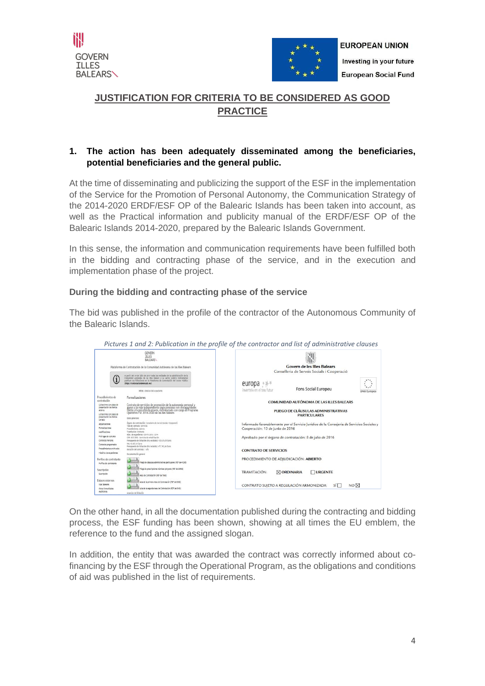



# **JUSTIFICATION FOR CRITERIA TO BE CONSIDERED AS GOOD PRACTICE**

# **1. The action has been adequately disseminated among the beneficiaries, potential beneficiaries and the general public.**

At the time of disseminating and publicizing the support of the ESF in the implementation of the Service for the Promotion of Personal Autonomy, the Communication Strategy of the 2014-2020 ERDF/ESF OP of the Balearic Islands has been taken into account, as well as the Practical information and publicity manual of the ERDF/ESF OP of the Balearic Islands 2014-2020, prepared by the Balearic Islands Government.

In this sense, the information and communication requirements have been fulfilled both in the bidding and contracting phase of the service, and in the execution and implementation phase of the project.

# **During the bidding and contracting phase of the service**

The bid was published in the profile of the contractor of the Autonomous Community of the Balearic Islands.



 *Pictures 1 and 2: Publication in the profile of the contractor and list of administrative clauses*

On the other hand, in all the documentation published during the contracting and bidding process, the ESF funding has been shown, showing at all times the EU emblem, the reference to the fund and the assigned slogan.

In addition, the entity that was awarded the contract was correctly informed about cofinancing by the ESF through the Operational Program, as the obligations and conditions of aid was published in the list of requirements.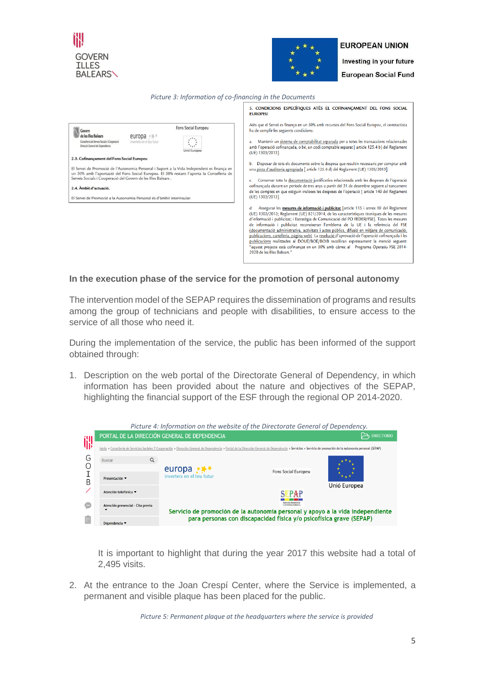



Investing in your future **European Social Fund** 

|  |  | Picture 3: Information of co-financing in the Documents |  |
|--|--|---------------------------------------------------------|--|
|--|--|---------------------------------------------------------|--|

|                                                                                                                                                                                                                                                                                                                                                                                                                                                                                                                                                                                                                  | 5. CONDICIONS ESPECÍFIQUES ATÈS EL COFINANCAMENT DEL FONS SOCIAL<br><b>EUROPEU</b>                                                                                                                                                                                                                                                                                                                                                                                                                                                                                                                                                                                                                                                                                                                                                                                                                                                                                                                                                                                                                                                                                                                                                                                                                                                                                                                                                                                                                                                                                                                                                                                                   |
|------------------------------------------------------------------------------------------------------------------------------------------------------------------------------------------------------------------------------------------------------------------------------------------------------------------------------------------------------------------------------------------------------------------------------------------------------------------------------------------------------------------------------------------------------------------------------------------------------------------|--------------------------------------------------------------------------------------------------------------------------------------------------------------------------------------------------------------------------------------------------------------------------------------------------------------------------------------------------------------------------------------------------------------------------------------------------------------------------------------------------------------------------------------------------------------------------------------------------------------------------------------------------------------------------------------------------------------------------------------------------------------------------------------------------------------------------------------------------------------------------------------------------------------------------------------------------------------------------------------------------------------------------------------------------------------------------------------------------------------------------------------------------------------------------------------------------------------------------------------------------------------------------------------------------------------------------------------------------------------------------------------------------------------------------------------------------------------------------------------------------------------------------------------------------------------------------------------------------------------------------------------------------------------------------------------|
| Fons Social Europeu<br>Govern<br>de les Illes Balears<br>europa $**$<br>Conselleria de Serveis Socials i Cooperació<br>myerteix en el teu futur<br>Direcció General de Dependència<br>Jnió Europea<br>2.3. Cofinançament del Fons Social Europeu<br>El Servei de Promoció de l'Autonomia Personal i Suport a la Vida Independent es finança en<br>un 50% amb l'aportació del Fons Social Europeu. El 50% restant l'aporta la Conselleria de<br>Serveis Socials i Cooperació del Govern de les Illes Balears.<br>2.4. Àmbit d'actuació.<br>El Servei de Promoció a la Autonomia Personal és d'àmbit interinsular. | Atès que el Servei es finança en un 50% amb recursos del Fons Social Europeu, el contractista<br>ha de complir les següents condicions:<br>Mantenir un sistema de comptabilitat separada per a totes les transaccions relacionades<br>a.<br>amb l'operació cofinançada, o bé, un codi comptable separat [article 125.4 b) del Reglament<br>(UE) 1303/2013].<br>Disposar de tots els documents sobre la despesa que resultin necessaris per comptar amb<br>Ь.<br>una pista d'auditoria apropiada [ article 125.4 d) del Reglament (UE) 1303/2013].<br>Conservar tota la documentació justificativa relacionada amb les despeses de l'operació<br>Ċ.<br>cofinançada durant un període de tres anys a partir del 31 de desembre següent al tancament<br>de les comptes en que estiguin incloses les despeses de l'operació [ article 140 del Reglament<br>(UE) 1303/2013].<br>Assegurar les <b>mesures de informació i publicitat</b> [article 115 i annex XII del Reglament<br>d.<br>(UE) 1303/2013; Reglament (UE) 821/2014, de les característiques tècniques de les mesures<br>d'informació i publicitat; i Estratègia de Comunicació del PO FEDER/FSE]. Totes les mesures<br>de informació i publicitat reconeixeran l'emblema de la UE i la referència del FSE<br>(documentació administrativa, activitats i actes públics, difusió en mitjans de comunicació,<br>publicacions, cartelleria, pàgina web). La resolució d'aprovació de l'operació cofinançada i les<br>publicacions realitzades al DOUE/BOE/BOIB recolliran expressament la menció següent:<br>"aquest projecte està cofinançat en un 50% amb càrrec al Programa Operatiu FSE 2014-<br>2020 de les Illes Balears." |
|                                                                                                                                                                                                                                                                                                                                                                                                                                                                                                                                                                                                                  |                                                                                                                                                                                                                                                                                                                                                                                                                                                                                                                                                                                                                                                                                                                                                                                                                                                                                                                                                                                                                                                                                                                                                                                                                                                                                                                                                                                                                                                                                                                                                                                                                                                                                      |

#### **In the execution phase of the service for the promotion of personal autonomy**

The intervention model of the SEPAP requires the dissemination of programs and results among the group of technicians and people with disabilities, to ensure access to the service of all those who need it.

During the implementation of the service, the public has been informed of the support obtained through:

1. Description on the web portal of the Directorate General of Dependency, in which information has been provided about the nature and objectives of the SEPAP, highlighting the financial support of the ESF through the regional OP 2014-2020.

|    | Picture 4: Information on the website of the Directorate General of Dependency.                                                                                                                                                                                                        |                                                                                |                                                                     |              |  |  |  |  |  |  |
|----|----------------------------------------------------------------------------------------------------------------------------------------------------------------------------------------------------------------------------------------------------------------------------------------|--------------------------------------------------------------------------------|---------------------------------------------------------------------|--------------|--|--|--|--|--|--|
|    | PORTAL DE LA DIRECCIÓN GENERAL DE DEPENDENCIA<br><b>DIRECTORIO</b><br>Inicio > Conselleria de Servicios Sociales Y Cooperación > Dirección General de Dependencia > Portal de la Dirección General de Dependencia > Servicios > Servicio de promoción de la autonomía personal (SEPAP) |                                                                                |                                                                     |              |  |  |  |  |  |  |
|    |                                                                                                                                                                                                                                                                                        |                                                                                |                                                                     |              |  |  |  |  |  |  |
| G  | Q<br><b>Buscar</b>                                                                                                                                                                                                                                                                     |                                                                                |                                                                     |              |  |  |  |  |  |  |
|    |                                                                                                                                                                                                                                                                                        | europa                                                                         | Fons Social Europeu                                                 |              |  |  |  |  |  |  |
| Β  | Presentación ▼                                                                                                                                                                                                                                                                         | inverteix en el teu futur                                                      |                                                                     |              |  |  |  |  |  |  |
|    | Atención telefónica ▼                                                                                                                                                                                                                                                                  |                                                                                |                                                                     | Unió Europea |  |  |  |  |  |  |
|    |                                                                                                                                                                                                                                                                                        |                                                                                |                                                                     |              |  |  |  |  |  |  |
| Đ. | Atención presencial - Cita previa                                                                                                                                                                                                                                                      |                                                                                |                                                                     |              |  |  |  |  |  |  |
|    |                                                                                                                                                                                                                                                                                        | Servicio de promoción de la autonomía personal y apoyo a la vida independiente |                                                                     |              |  |  |  |  |  |  |
|    | Dependencia ▼                                                                                                                                                                                                                                                                          |                                                                                | para personas con discapacidad física y/o psicofísica grave (SEPAP) |              |  |  |  |  |  |  |

It is important to highlight that during the year 2017 this website had a total of 2,495 visits.

2. At the entrance to the Joan Crespí Center, where the Service is implemented, a permanent and visible plaque has been placed for the public.

 *Picture 5: Permanent plaque at the headquarters where the service is provided*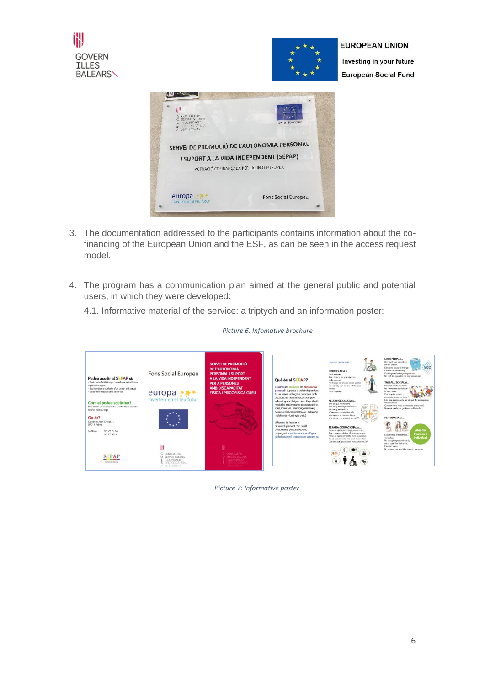



Investing in your future **European Social Fund** 



- 3. The documentation addressed to the participants contains information about the cofinancing of the European Union and the ESF, as can be seen in the access request model.
- 4. The program has a communication plan aimed at the general public and potential users, in which they were developed:

4.1. Informative material of the service: a triptych and an information poster:

| Podeu acudir al SEPAP si:<br>- Teniu entre 14 i 65 anys i una discapacitat física<br>o psicofísica greu.<br>- Sou familiar o cuidador d'un utuari del servei.<br>Voleu informació sobre el servei<br>Com el podeu sol·licitar?<br>Presentant una sol·licitud al Centre Base situat a<br>l'edifici Joan Crespi.<br>On és?<br>Carrer de Joan Crespi, 11.<br>OZO14 Palma<br>971 73 79 55<br>Telèfons<br>971 78 49 14 | Fons Social Europeu<br>europa<br>inverteix en el teu futur                                                | SERVEI DE PROMOCIÓ<br><b>DE L'AUTONOMIA</b><br><b>PERSONAL I SUPORT</b><br>A LA VIDA INDEPENDENT<br><b>PER A PERSONES</b><br><b>AMB DISCAPACITAT</b><br><b>FÍSICA I PSICOFÍSICA GREU</b> | Què és el SEPAP?<br>El servei de promoció de l'autonomia<br>personal i suport a la vida independent<br>és un servei adrecat a persones amb<br>discapacitat física o psicofísica greu<br>sobrevinguda d'origen neurològic (lesió<br>medul·lar, traumatisme cranicencefàlic.<br>ictus malalties neurodegeneratives.<br>paràlisi cerebral, malaltia de Parkinson,<br>malaltia de Huntington, etc.)<br>L'objectiu és facilitar el<br>desenvolupament d'un nivell<br>d'autonomia personal òptim,<br>mitjançant una intervenció ecològica,<br>global i integral centrada en la persona. | Us podem nisdar amb<br><b>FISIOTERAPIA «L.</b><br>Feed mobilitat.<br>Tone dolor a los articulacions.<br>o als mósculs.<br>Peed force per moure coses petites.<br>Patesc fatiga en recómer distâncies<br>cetites.<br>Perd l'equilibri.<br>NEUROPSICOLOGIA si<br>eNo sé què he de fer?»<br>cNo sé quin metge em toca?»<br>cNo sé puin dia és?»<br><b>Super</b><br>«Com resolo el problema?»<br>cNo entenc el que em dus s<br>é.<br>eNo sé com es prepara un calé?»<br><b>TERAPIA OCUPACIONAL si</b><br>Necessit ajuda per menjar, vestir-me<br>Tenc menys mobilitat i forca a les mans.<br>Necessit ajuda per sortir-me'n a ca meya.<br>No sé com orientar-me en el meu entom.<br>Ouè em pot ajudar a ser más autónom/a? | LOGOPÉDIA si<br>Xerr molt baix i els altres<br>no em senten.<br>Em costa enviar el menjar.<br>Em cans cuan masteo.<br>Costa que m'entenguin quan xerr.<br>No trob les paraules per comunicar-me.<br>TREBALL SOCIAL si<br>Necessit ajuda per cobrir<br>les meves necessitats de<br>la vida diletta<br>Ouins niuts, serveis o<br>prestecions puc sol·licitar?<br>Em sent perdut/uda, no sé guè fer en aquesta<br>nova situació.<br>Out pot for el meu familiar per ajudar-me?<br>Necessit ajuda per gestionar sol·licituds.<br>PSICOLOGIA si<br><b>Atenció</b><br><b>Familiar</b><br>Estic trist/a, enfadat/ada<br>Individual<br>Terre dolor.<br>No accept aggents situació.<br>no sé com l'he d'afrontar. |
|-------------------------------------------------------------------------------------------------------------------------------------------------------------------------------------------------------------------------------------------------------------------------------------------------------------------------------------------------------------------------------------------------------------------|-----------------------------------------------------------------------------------------------------------|------------------------------------------------------------------------------------------------------------------------------------------------------------------------------------------|-----------------------------------------------------------------------------------------------------------------------------------------------------------------------------------------------------------------------------------------------------------------------------------------------------------------------------------------------------------------------------------------------------------------------------------------------------------------------------------------------------------------------------------------------------------------------------------|------------------------------------------------------------------------------------------------------------------------------------------------------------------------------------------------------------------------------------------------------------------------------------------------------------------------------------------------------------------------------------------------------------------------------------------------------------------------------------------------------------------------------------------------------------------------------------------------------------------------------------------------------------------------------------------------------------------------|----------------------------------------------------------------------------------------------------------------------------------------------------------------------------------------------------------------------------------------------------------------------------------------------------------------------------------------------------------------------------------------------------------------------------------------------------------------------------------------------------------------------------------------------------------------------------------------------------------------------------------------------------------------------------------------------------------|
| PAP<br>NATIONAL PROVINCIO DE                                                                                                                                                                                                                                                                                                                                                                                      | ĭH.<br>G CONSELLERIA<br>O SERVEIS SOCIALS<br>I I COOPERACIÓ<br><b>B</b> DIRECCIÓ GENERAL<br>/ DEPENDENCIA | G. CONSELLERIA<br><b>CL SERVEIS SCICIALS</b><br>I ICOOPERACIO<br><b>B</b> DRECCIO GENERAL<br><b>Z</b> DEPENDENCIA                                                                        |                                                                                                                                                                                                                                                                                                                                                                                                                                                                                                                                                                                   |                                                                                                                                                                                                                                                                                                                                                                                                                                                                                                                                                                                                                                                                                                                        | fire sent sol/a.<br>No sé com puc resoldre aquest problema.                                                                                                                                                                                                                                                                                                                                                                                                                                                                                                                                                                                                                                              |

#### *Picture 6: Infomative brochure*

*Picture 7: Informative poster*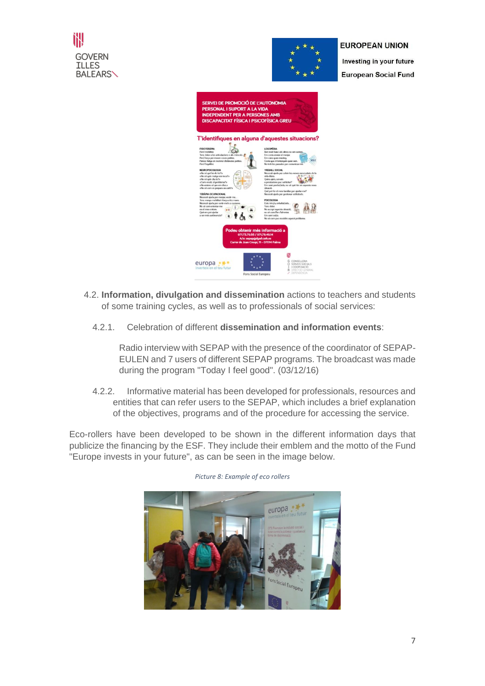



Investing in your future **European Social Fund** 



- 4.2. **Information, divulgation and dissemination** actions to teachers and students of some training cycles, as well as to professionals of social services:
	- 4.2.1. Celebration of different **dissemination and information events**:

Radio interview with SEPAP with the presence of the coordinator of SEPAP-EULEN and 7 users of different SEPAP programs. The broadcast was made during the program "Today I feel good". (03/12/16)

4.2.2. Informative material has been developed for professionals, resources and entities that can refer users to the SEPAP, which includes a brief explanation of the objectives, programs and of the procedure for accessing the service.

Eco-rollers have been developed to be shown in the different information days that publicize the financing by the ESF. They include their emblem and the motto of the Fund "Europe invests in your future", as can be seen in the image below.



*Picture 8: Example of eco rollers*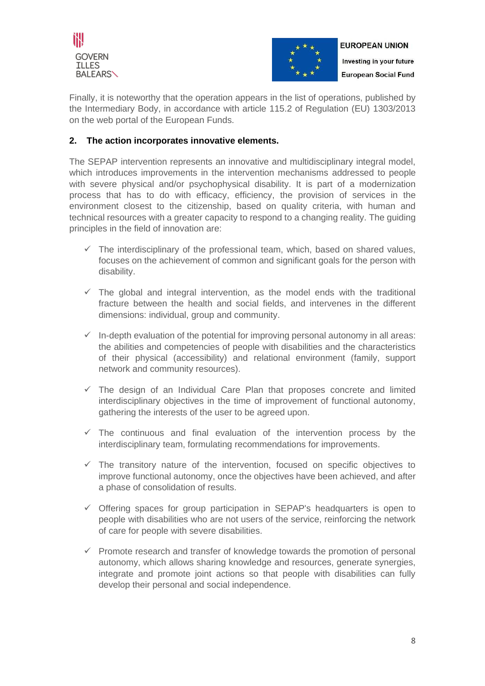



Finally, it is noteworthy that the operation appears in the list of operations, published by the Intermediary Body, in accordance with article 115.2 of Regulation (EU) 1303/2013 on the web portal of the European Funds.

# **2. The action incorporates innovative elements.**

The SEPAP intervention represents an innovative and multidisciplinary integral model, which introduces improvements in the intervention mechanisms addressed to people with severe physical and/or psychophysical disability. It is part of a modernization process that has to do with efficacy, efficiency, the provision of services in the environment closest to the citizenship, based on quality criteria, with human and technical resources with a greater capacity to respond to a changing reality. The guiding principles in the field of innovation are:

- $\checkmark$  The interdisciplinary of the professional team, which, based on shared values, focuses on the achievement of common and significant goals for the person with disability.
- $\checkmark$  The global and integral intervention, as the model ends with the traditional fracture between the health and social fields, and intervenes in the different dimensions: individual, group and community.
- $\checkmark$  In-depth evaluation of the potential for improving personal autonomy in all areas: the abilities and competencies of people with disabilities and the characteristics of their physical (accessibility) and relational environment (family, support network and community resources).
- $\checkmark$  The design of an Individual Care Plan that proposes concrete and limited interdisciplinary objectives in the time of improvement of functional autonomy, gathering the interests of the user to be agreed upon.
- $\checkmark$  The continuous and final evaluation of the intervention process by the interdisciplinary team, formulating recommendations for improvements.
- $\checkmark$  The transitory nature of the intervention, focused on specific objectives to improve functional autonomy, once the objectives have been achieved, and after a phase of consolidation of results.
- $\checkmark$  Offering spaces for group participation in SEPAP's headquarters is open to people with disabilities who are not users of the service, reinforcing the network of care for people with severe disabilities.
- $\checkmark$  Promote research and transfer of knowledge towards the promotion of personal autonomy, which allows sharing knowledge and resources, generate synergies, integrate and promote joint actions so that people with disabilities can fully develop their personal and social independence.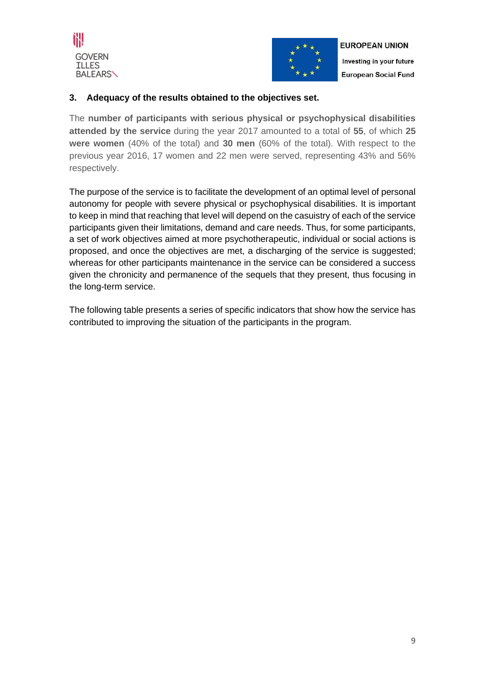



# **3. Adequacy of the results obtained to the objectives set.**

The **number of participants with serious physical or psychophysical disabilities attended by the service** during the year 2017 amounted to a total of **55**, of which **25 were women** (40% of the total) and **30 men** (60% of the total). With respect to the previous year 2016, 17 women and 22 men were served, representing 43% and 56% respectively.

The purpose of the service is to facilitate the development of an optimal level of personal autonomy for people with severe physical or psychophysical disabilities. It is important to keep in mind that reaching that level will depend on the casuistry of each of the service participants given their limitations, demand and care needs. Thus, for some participants, a set of work objectives aimed at more psychotherapeutic, individual or social actions is proposed, and once the objectives are met, a discharging of the service is suggested; whereas for other participants maintenance in the service can be considered a success given the chronicity and permanence of the sequels that they present, thus focusing in the long-term service.

The following table presents a series of specific indicators that show how the service has contributed to improving the situation of the participants in the program.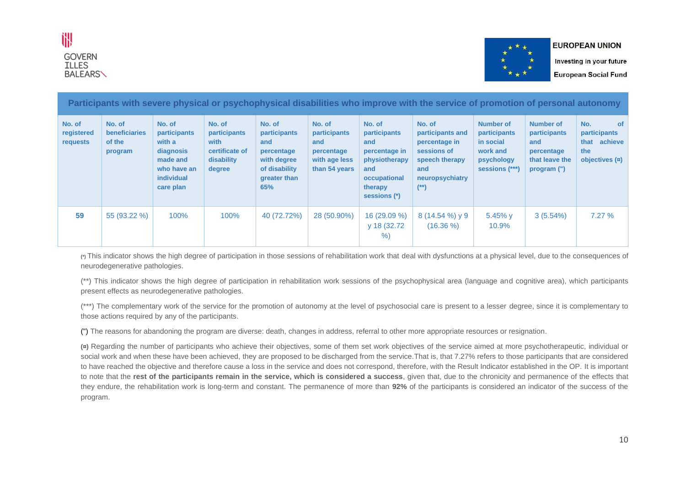



Investing in your future **European Social Fund** 

**Participants with severe physical or psychophysical disabilities who improve with the service of promotion of personal autonomy**

| No. of<br>registered<br>requests | No. of<br><b>beneficiaries</b><br>of the<br>program | No. of<br><b>participants</b><br>with a<br>diagnosis<br>made and<br>who have an<br>individual<br>care plan | No. of<br><b>participants</b><br>with<br>certificate of<br>disability<br>degree | No. of<br><b>participants</b><br>and<br>percentage<br>with degree<br>of disability<br>greater than<br>65% | No. of<br>participants<br>and<br>percentage<br>with age less<br>than 54 years | No. of<br>participants<br>and<br>percentage in<br>physiotherapy<br>and<br>occupational<br>therapy<br>sessions (*) | No. of<br>participants and<br>percentage in<br>sessions of<br>speech therapy<br>and<br>neuropsychiatry<br>$(*)$ | <b>Number of</b><br>participants<br>in social<br>work and<br>psychology<br>sessions (***) | Number of<br><b>participants</b><br>and<br>percentage<br>that leave the<br>program (") | <b>of</b><br>No.<br>participants<br>that achieve<br>the<br>objectives $(n)$ |
|----------------------------------|-----------------------------------------------------|------------------------------------------------------------------------------------------------------------|---------------------------------------------------------------------------------|-----------------------------------------------------------------------------------------------------------|-------------------------------------------------------------------------------|-------------------------------------------------------------------------------------------------------------------|-----------------------------------------------------------------------------------------------------------------|-------------------------------------------------------------------------------------------|----------------------------------------------------------------------------------------|-----------------------------------------------------------------------------|
| 59                               | $55(93.22\%)$                                       | 100%                                                                                                       | 100%                                                                            | 40 (72.72%)                                                                                               | 28 (50.90%)                                                                   | 16 (29.09 %)<br>v 18 (32.72)<br>%                                                                                 | $8(14.54\%)$ v 9<br>$(16.36\%)$                                                                                 | 5.45% $v$<br>10.9%                                                                        | $3(5.54\%)$                                                                            | 7.27%                                                                       |

**(\*)** This indicator shows the high degree of participation in those sessions of rehabilitation work that deal with dysfunctions at a physical level, due to the consequences of neurodegenerative pathologies.

(\*\*) This indicator shows the high degree of participation in rehabilitation work sessions of the psychophysical area (language and cognitive area), which participants present effects as neurodegenerative pathologies.

(\*\*\*) The complementary work of the service for the promotion of autonomy at the level of psychosocial care is present to a lesser degree, since it is complementary to those actions required by any of the participants.

(") The reasons for abandoning the program are diverse: death, changes in address, referral to other more appropriate resources or resignation.

**(¤)** Regarding the number of participants who achieve their objectives, some of them set work objectives of the service aimed at more psychotherapeutic, individual or social work and when these have been achieved, they are proposed to be discharged from the service. That is, that 7.27% refers to those participants that are considered to have reached the objective and therefore cause a loss in the service and does not correspond, therefore, with the Result Indicator established in the OP. It is important to note that the **rest of the participants remain in the service, which is considered a success**, given that, due to the chronicity and permanence of the effects that they endure, the rehabilitation work is long-term and constant. The permanence of more than **92%** of the participants is considered an indicator of the success of the program.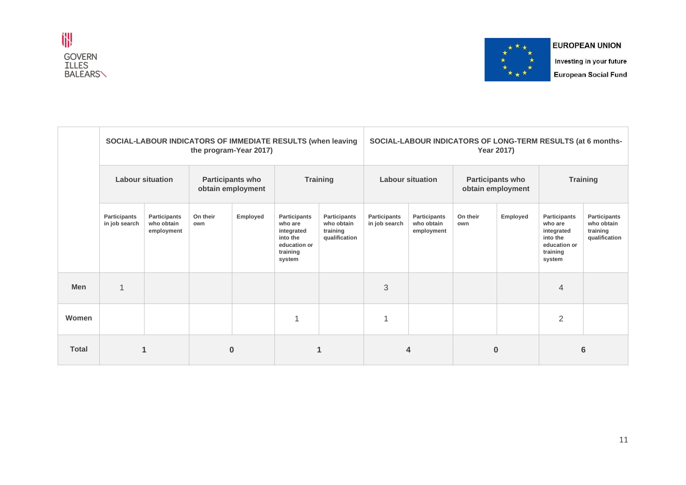



Investing in your future **European Social Fund** 

|              | SOCIAL-LABOUR INDICATORS OF IMMEDIATE RESULTS (when leaving<br>the program-Year 2017) |                                          |                                              |          |                                                                                         |                                                         |                               | SOCIAL-LABOUR INDICATORS OF LONG-TERM RESULTS (at 6 months-<br><b>Year 2017)</b> |                                              |          |                                                                                                |                                                         |  |
|--------------|---------------------------------------------------------------------------------------|------------------------------------------|----------------------------------------------|----------|-----------------------------------------------------------------------------------------|---------------------------------------------------------|-------------------------------|----------------------------------------------------------------------------------|----------------------------------------------|----------|------------------------------------------------------------------------------------------------|---------------------------------------------------------|--|
|              | <b>Labour situation</b>                                                               |                                          | <b>Participants who</b><br>obtain employment |          | <b>Training</b>                                                                         |                                                         | <b>Labour situation</b>       |                                                                                  | <b>Participants who</b><br>obtain employment |          | <b>Training</b>                                                                                |                                                         |  |
|              | Participants<br>in job search                                                         | Participants<br>who obtain<br>employment | On their<br>own                              | Employed | Participants<br>who are<br>integrated<br>into the<br>education or<br>training<br>system | Participants<br>who obtain<br>training<br>qualification | Participants<br>in job search | Participants<br>who obtain<br>employment                                         | On their<br>own                              | Employed | <b>Participants</b><br>who are<br>integrated<br>into the<br>education or<br>training<br>system | Participants<br>who obtain<br>training<br>qualification |  |
| Men          | $\mathbf 1$                                                                           |                                          |                                              |          |                                                                                         |                                                         | 3                             |                                                                                  |                                              |          | $\overline{4}$                                                                                 |                                                         |  |
| Women        |                                                                                       |                                          |                                              |          | 1                                                                                       |                                                         |                               |                                                                                  |                                              |          | $\overline{2}$                                                                                 |                                                         |  |
| <b>Total</b> | 1                                                                                     |                                          | $\bf{0}$                                     |          | 1                                                                                       |                                                         |                               | 4                                                                                | $\bf{0}$                                     |          |                                                                                                | $6\phantom{1}6$                                         |  |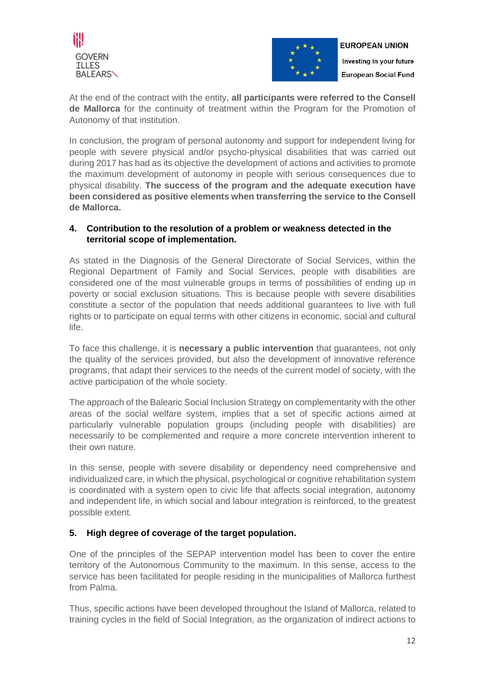



At the end of the contract with the entity, **all participants were referred to the Consell de Mallorca** for the continuity of treatment within the Program for the Promotion of Autonomy of that institution.

In conclusion, the program of personal autonomy and support for independent living for people with severe physical and/or psycho-physical disabilities that was carried out during 2017 has had as its objective the development of actions and activities to promote the maximum development of autonomy in people with serious consequences due to physical disability. **The success of the program and the adequate execution have been considered as positive elements when transferring the service to the Consell de Mallorca.**

# **4. Contribution to the resolution of a problem or weakness detected in the territorial scope of implementation.**

As stated in the Diagnosis of the General Directorate of Social Services, within the Regional Department of Family and Social Services, people with disabilities are considered one of the most vulnerable groups in terms of possibilities of ending up in poverty or social exclusion situations. This is because people with severe disabilities constitute a sector of the population that needs additional guarantees to live with full rights or to participate on equal terms with other citizens in economic, social and cultural life.

To face this challenge, it is **necessary a public intervention** that guarantees, not only the quality of the services provided, but also the development of innovative reference programs, that adapt their services to the needs of the current model of society, with the active participation of the whole society.

The approach of the Balearic Social Inclusion Strategy on complementarity with the other areas of the social welfare system, implies that a set of specific actions aimed at particularly vulnerable population groups (including people with disabilities) are necessarily to be complemented and require a more concrete intervention inherent to their own nature.

In this sense, people with severe disability or dependency need comprehensive and individualized care, in which the physical, psychological or cognitive rehabilitation system is coordinated with a system open to civic life that affects social integration, autonomy and independent life, in which social and labour integration is reinforced, to the greatest possible extent.

# **5. High degree of coverage of the target population.**

One of the principles of the SEPAP intervention model has been to cover the entire territory of the Autonomous Community to the maximum. In this sense, access to the service has been facilitated for people residing in the municipalities of Mallorca furthest from Palma.

Thus, specific actions have been developed throughout the Island of Mallorca, related to training cycles in the field of Social Integration, as the organization of indirect actions to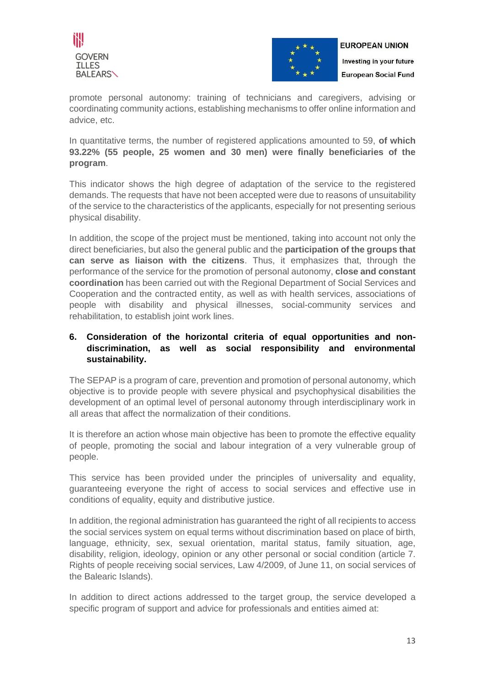



promote personal autonomy: training of technicians and caregivers, advising or coordinating community actions, establishing mechanisms to offer online information and advice, etc.

In quantitative terms, the number of registered applications amounted to 59, **of which 93.22% (55 people, 25 women and 30 men) were finally beneficiaries of the program**.

This indicator shows the high degree of adaptation of the service to the registered demands. The requests that have not been accepted were due to reasons of unsuitability of the service to the characteristics of the applicants, especially for not presenting serious physical disability.

In addition, the scope of the project must be mentioned, taking into account not only the direct beneficiaries, but also the general public and the **participation of the groups that can serve as liaison with the citizens**. Thus, it emphasizes that, through the performance of the service for the promotion of personal autonomy, **close and constant coordination** has been carried out with the Regional Department of Social Services and Cooperation and the contracted entity, as well as with health services, associations of people with disability and physical illnesses, social-community services and rehabilitation, to establish joint work lines.

# **6. Consideration of the horizontal criteria of equal opportunities and nondiscrimination, as well as social responsibility and environmental sustainability.**

The SEPAP is a program of care, prevention and promotion of personal autonomy, which objective is to provide people with severe physical and psychophysical disabilities the development of an optimal level of personal autonomy through interdisciplinary work in all areas that affect the normalization of their conditions.

It is therefore an action whose main objective has been to promote the effective equality of people, promoting the social and labour integration of a very vulnerable group of people.

This service has been provided under the principles of universality and equality, guaranteeing everyone the right of access to social services and effective use in conditions of equality, equity and distributive justice.

In addition, the regional administration has guaranteed the right of all recipients to access the social services system on equal terms without discrimination based on place of birth, language, ethnicity, sex, sexual orientation, marital status, family situation, age, disability, religion, ideology, opinion or any other personal or social condition (article 7. Rights of people receiving social services, Law 4/2009, of June 11, on social services of the Balearic Islands).

In addition to direct actions addressed to the target group, the service developed a specific program of support and advice for professionals and entities aimed at: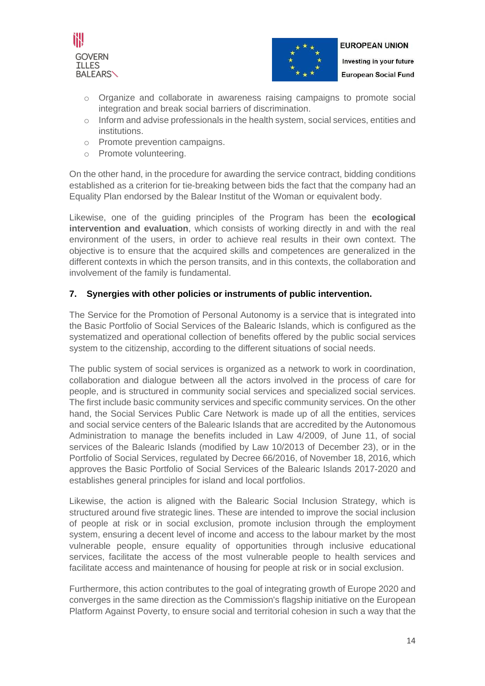



- o Organize and collaborate in awareness raising campaigns to promote social integration and break social barriers of discrimination.
- o Inform and advise professionals in the health system, social services, entities and institutions.
- o Promote prevention campaigns.
- o Promote volunteering.

On the other hand, in the procedure for awarding the service contract, bidding conditions established as a criterion for tie-breaking between bids the fact that the company had an Equality Plan endorsed by the Balear Institut of the Woman or equivalent body.

Likewise, one of the guiding principles of the Program has been the **ecological intervention and evaluation**, which consists of working directly in and with the real environment of the users, in order to achieve real results in their own context. The objective is to ensure that the acquired skills and competences are generalized in the different contexts in which the person transits, and in this contexts, the collaboration and involvement of the family is fundamental.

# **7. Synergies with other policies or instruments of public intervention.**

The Service for the Promotion of Personal Autonomy is a service that is integrated into the Basic Portfolio of Social Services of the Balearic Islands, which is configured as the systematized and operational collection of benefits offered by the public social services system to the citizenship, according to the different situations of social needs.

The public system of social services is organized as a network to work in coordination, collaboration and dialogue between all the actors involved in the process of care for people, and is structured in community social services and specialized social services. The first include basic community services and specific community services. On the other hand, the Social Services Public Care Network is made up of all the entities, services and social service centers of the Balearic Islands that are accredited by the Autonomous Administration to manage the benefits included in Law 4/2009, of June 11, of social services of the Balearic Islands (modified by Law 10/2013 of December 23), or in the Portfolio of Social Services, regulated by Decree 66/2016, of November 18, 2016, which approves the Basic Portfolio of Social Services of the Balearic Islands 2017-2020 and establishes general principles for island and local portfolios.

Likewise, the action is aligned with the Balearic Social Inclusion Strategy, which is structured around five strategic lines. These are intended to improve the social inclusion of people at risk or in social exclusion, promote inclusion through the employment system, ensuring a decent level of income and access to the labour market by the most vulnerable people, ensure equality of opportunities through inclusive educational services, facilitate the access of the most vulnerable people to health services and facilitate access and maintenance of housing for people at risk or in social exclusion.

Furthermore, this action contributes to the goal of integrating growth of Europe 2020 and converges in the same direction as the Commission's flagship initiative on the European Platform Against Poverty, to ensure social and territorial cohesion in such a way that the